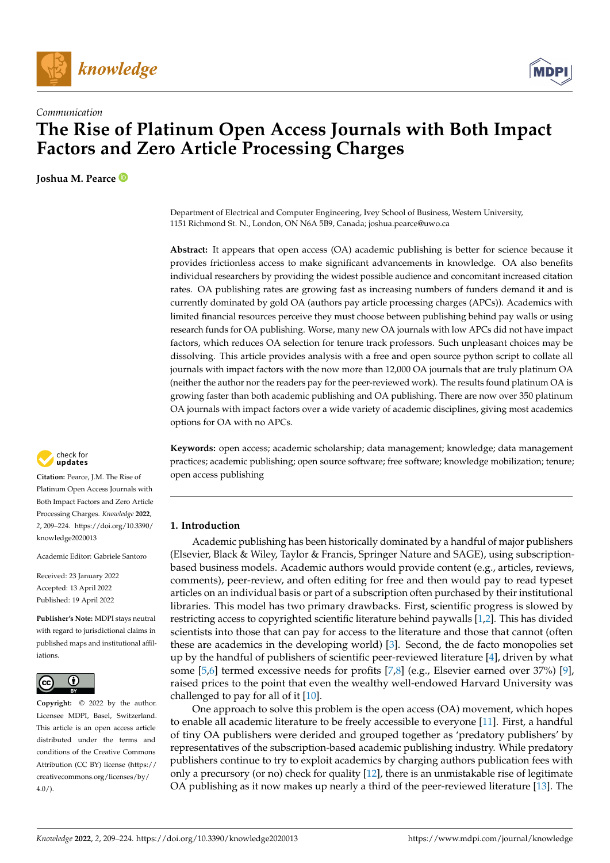



# *Communication* **The Rise of Platinum Open Access Journals with Both Impact Factors and Zero Article Processing Charges**

**Joshua M. Pearce**



**Citation:** Pearce, J.M. The Rise of Platinum Open Access Journals with Both Impact Factors and Zero Article Processing Charges. *Knowledge* **2022**, *2*, 209–224. [https://doi.org/10.3390/](https://doi.org/10.3390/knowledge2020013) [knowledge2020013](https://doi.org/10.3390/knowledge2020013)

Academic Editor: Gabriele Santoro

Received: 23 January 2022 Accepted: 13 April 2022 Published: 19 April 2022

**Publisher's Note:** MDPI stays neutral with regard to jurisdictional claims in published maps and institutional affiliations.



**Copyright:** © 2022 by the author. Licensee MDPI, Basel, Switzerland. This article is an open access article distributed under the terms and conditions of the Creative Commons Attribution (CC BY) license [\(https://](https://creativecommons.org/licenses/by/4.0/) [creativecommons.org/licenses/by/](https://creativecommons.org/licenses/by/4.0/)  $4.0/$ ).

Department of Electrical and Computer Engineering, Ivey School of Business, Western University, 1151 Richmond St. N., London, ON N6A 5B9, Canada; joshua.pearce@uwo.ca

**Abstract:** It appears that open access (OA) academic publishing is better for science because it provides frictionless access to make significant advancements in knowledge. OA also benefits individual researchers by providing the widest possible audience and concomitant increased citation rates. OA publishing rates are growing fast as increasing numbers of funders demand it and is currently dominated by gold OA (authors pay article processing charges (APCs)). Academics with limited financial resources perceive they must choose between publishing behind pay walls or using research funds for OA publishing. Worse, many new OA journals with low APCs did not have impact factors, which reduces OA selection for tenure track professors. Such unpleasant choices may be dissolving. This article provides analysis with a free and open source python script to collate all journals with impact factors with the now more than 12,000 OA journals that are truly platinum OA (neither the author nor the readers pay for the peer-reviewed work). The results found platinum OA is growing faster than both academic publishing and OA publishing. There are now over 350 platinum OA journals with impact factors over a wide variety of academic disciplines, giving most academics options for OA with no APCs.

**Keywords:** open access; academic scholarship; data management; knowledge; data management practices; academic publishing; open source software; free software; knowledge mobilization; tenure; open access publishing

## **1. Introduction**

Academic publishing has been historically dominated by a handful of major publishers (Elsevier, Black & Wiley, Taylor & Francis, Springer Nature and SAGE), using subscriptionbased business models. Academic authors would provide content (e.g., articles, reviews, comments), peer-review, and often editing for free and then would pay to read typeset articles on an individual basis or part of a subscription often purchased by their institutional libraries. This model has two primary drawbacks. First, scientific progress is slowed by restricting access to copyrighted scientific literature behind paywalls [\[1](#page-14-0)[,2\]](#page-14-1). This has divided scientists into those that can pay for access to the literature and those that cannot (often these are academics in the developing world) [\[3\]](#page-14-2). Second, the de facto monopolies set up by the handful of publishers of scientific peer-reviewed literature [\[4\]](#page-14-3), driven by what some [\[5](#page-14-4)[,6\]](#page-14-5) termed excessive needs for profits [\[7](#page-14-6)[,8\]](#page-14-7) (e.g., Elsevier earned over 37%) [\[9\]](#page-14-8), raised prices to the point that even the wealthy well-endowed Harvard University was challenged to pay for all of it [\[10\]](#page-14-9).

One approach to solve this problem is the open access (OA) movement, which hopes to enable all academic literature to be freely accessible to everyone [\[11\]](#page-14-10). First, a handful of tiny OA publishers were derided and grouped together as 'predatory publishers' by representatives of the subscription-based academic publishing industry. While predatory publishers continue to try to exploit academics by charging authors publication fees with only a precursory (or no) check for quality  $[12]$ , there is an unmistakable rise of legitimate OA publishing as it now makes up nearly a third of the peer-reviewed literature [\[13\]](#page-14-12). The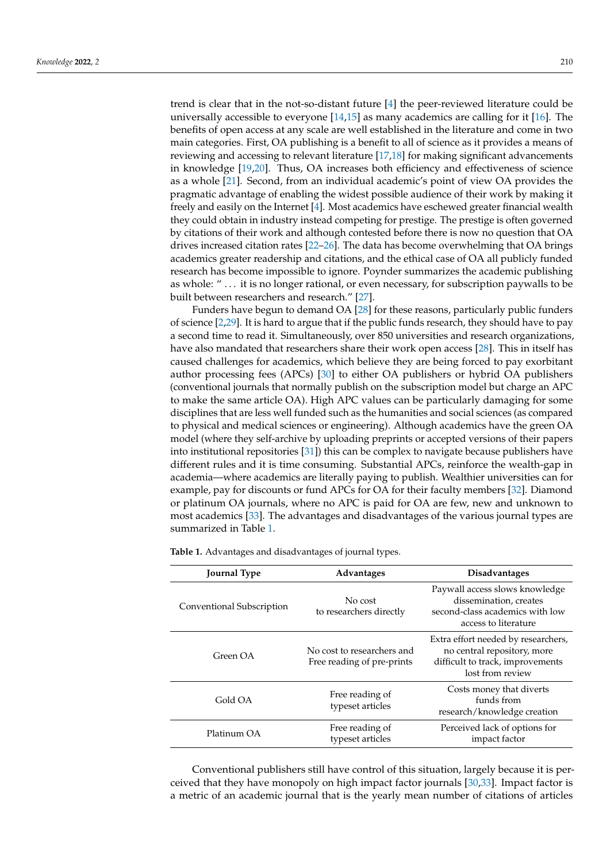trend is clear that in the not-so-distant future [\[4\]](#page-14-3) the peer-reviewed literature could be universally accessible to everyone  $[14,15]$  $[14,15]$  as many academics are calling for it  $[16]$ . The benefits of open access at any scale are well established in the literature and come in two main categories. First, OA publishing is a benefit to all of science as it provides a means of reviewing and accessing to relevant literature [\[17](#page-14-16)[,18\]](#page-14-17) for making significant advancements in knowledge [\[19](#page-14-18)[,20\]](#page-14-19). Thus, OA increases both efficiency and effectiveness of science as a whole [\[21\]](#page-14-20). Second, from an individual academic's point of view OA provides the pragmatic advantage of enabling the widest possible audience of their work by making it freely and easily on the Internet [\[4\]](#page-14-3). Most academics have eschewed greater financial wealth they could obtain in industry instead competing for prestige. The prestige is often governed by citations of their work and although contested before there is now no question that OA drives increased citation rates [\[22](#page-15-0)[–26\]](#page-15-1). The data has become overwhelming that OA brings academics greater readership and citations, and the ethical case of OA all publicly funded research has become impossible to ignore. Poynder summarizes the academic publishing as whole: " ... it is no longer rational, or even necessary, for subscription paywalls to be built between researchers and research." [\[27\]](#page-15-2).

Funders have begun to demand OA [\[28\]](#page-15-3) for these reasons, particularly public funders of science [\[2,](#page-14-1)[29\]](#page-15-4). It is hard to argue that if the public funds research, they should have to pay a second time to read it. Simultaneously, over 850 universities and research organizations, have also mandated that researchers share their work open access [\[28\]](#page-15-3). This in itself has caused challenges for academics, which believe they are being forced to pay exorbitant author processing fees (APCs) [\[30\]](#page-15-5) to either OA publishers or hybrid OA publishers (conventional journals that normally publish on the subscription model but charge an APC to make the same article OA). High APC values can be particularly damaging for some disciplines that are less well funded such as the humanities and social sciences (as compared to physical and medical sciences or engineering). Although academics have the green OA model (where they self-archive by uploading preprints or accepted versions of their papers into institutional repositories [\[31\]](#page-15-6)) this can be complex to navigate because publishers have different rules and it is time consuming. Substantial APCs, reinforce the wealth-gap in academia—where academics are literally paying to publish. Wealthier universities can for example, pay for discounts or fund APCs for OA for their faculty members [\[32\]](#page-15-7). Diamond or platinum OA journals, where no APC is paid for OA are few, new and unknown to most academics [\[33\]](#page-15-8). The advantages and disadvantages of the various journal types are summarized in Table [1.](#page-1-0)

|  | <b>Journal Type</b>       | <b>Advantages</b>                                        | <b>Disadvantages</b>                                                                                                       |
|--|---------------------------|----------------------------------------------------------|----------------------------------------------------------------------------------------------------------------------------|
|  | Conventional Subscription | No cost<br>to researchers directly                       | Paywall access slows knowledge<br>dissemination, creates<br>second-class academics with low<br>access to literature        |
|  | Green OA                  | No cost to researchers and<br>Free reading of pre-prints | Extra effort needed by researchers,<br>no central repository, more<br>difficult to track, improvements<br>lost from review |
|  | Gold OA                   | Free reading of<br>typeset articles                      | Costs money that diverts<br>funds from<br>research/knowledge creation                                                      |
|  | Platinum OA               | Free reading of<br>typeset articles                      | Perceived lack of options for<br>impact factor                                                                             |

<span id="page-1-0"></span>**Table 1.** Advantages and disadvantages of journal types.

Conventional publishers still have control of this situation, largely because it is perceived that they have monopoly on high impact factor journals [\[30](#page-15-5)[,33\]](#page-15-8). Impact factor is a metric of an academic journal that is the yearly mean number of citations of articles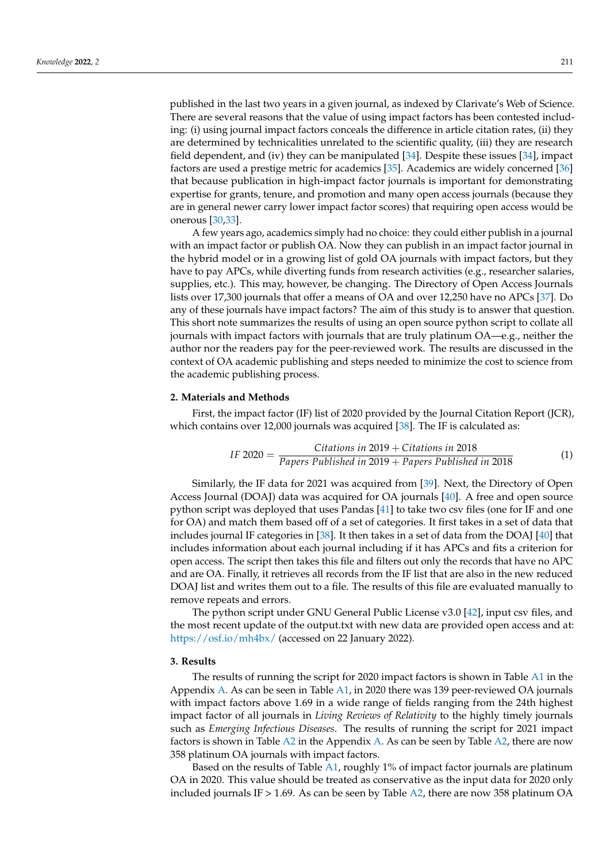published in the last two years in a given journal, as indexed by Clarivate's Web of Science. There are several reasons that the value of using impact factors has been contested including: (i) using journal impact factors conceals the difference in article citation rates, (ii) they are determined by technicalities unrelated to the scientific quality, (iii) they are research field dependent, and (iv) they can be manipulated [\[34\]](#page-15-9). Despite these issues [\[34\]](#page-15-9), impact factors are used a prestige metric for academics [\[35\]](#page-15-10). Academics are widely concerned [\[36\]](#page-15-11) that because publication in high-impact factor journals is important for demonstrating expertise for grants, tenure, and promotion and many open access journals (because they are in general newer carry lower impact factor scores) that requiring open access would be onerous [\[30,](#page-15-5)[33\]](#page-15-8).

A few years ago, academics simply had no choice: they could either publish in a journal with an impact factor or publish OA. Now they can publish in an impact factor journal in the hybrid model or in a growing list of gold OA journals with impact factors, but they have to pay APCs, while diverting funds from research activities (e.g., researcher salaries, supplies, etc.). This may, however, be changing. The Directory of Open Access Journals lists over 17,300 journals that offer a means of OA and over 12,250 have no APCs [\[37\]](#page-15-12). Do any of these journals have impact factors? The aim of this study is to answer that question. This short note summarizes the results of using an open source python script to collate all journals with impact factors with journals that are truly platinum OA—e.g., neither the author nor the readers pay for the peer-reviewed work. The results are discussed in the context of OA academic publishing and steps needed to minimize the cost to science from the academic publishing process.

### **2. Materials and Methods**

First, the impact factor (IF) list of 2020 provided by the Journal Citation Report (JCR), which contains over 12,000 journals was acquired [\[38\]](#page-15-13). The IF is calculated as:

IF 2020 = 
$$
\frac{Citations in 2019 + Citations in 2018}{Papers Published in 2019 + Papers Published in 2018}
$$
 (1)

Similarly, the IF data for 2021 was acquired from [\[39\]](#page-15-14). Next, the Directory of Open Access Journal (DOAJ) data was acquired for OA journals [\[40\]](#page-15-15). A free and open source python script was deployed that uses Pandas [\[41\]](#page-15-16) to take two csv files (one for IF and one for OA) and match them based off of a set of categories. It first takes in a set of data that includes journal IF categories in [\[38\]](#page-15-13). It then takes in a set of data from the DOAJ [\[40\]](#page-15-15) that includes information about each journal including if it has APCs and fits a criterion for open access. The script then takes this file and filters out only the records that have no APC and are OA. Finally, it retrieves all records from the IF list that are also in the new reduced DOAJ list and writes them out to a file. The results of this file are evaluated manually to remove repeats and errors.

The python script under GNU General Public License v3.0 [\[42\]](#page-15-17), input csv files, and the most recent update of the output.txt with new data are provided open access and at: <https://osf.io/mh4bx/> (accessed on 22 January 2022).

#### **3. Results**

The results of running the script for 2020 impact factors is shown in Table [A1](#page-7-0) in the Appendix [A.](#page-5-0) As can be seen in Table [A1,](#page-7-0) in 2020 there was 139 peer-reviewed OA journals with impact factors above 1.69 in a wide range of fields ranging from the 24th highest impact factor of all journals in *Living Reviews of Relativity* to the highly timely journals such as *Emerging Infectious Diseases*. The results of running the script for 2021 impact factors is shown in Table [A2](#page-14-21) in the Appendix [A.](#page-5-0) As can be seen by Table [A2,](#page-14-21) there are now 358 platinum OA journals with impact factors.

Based on the results of Table [A1,](#page-7-0) roughly 1% of impact factor journals are platinum OA in 2020. This value should be treated as conservative as the input data for 2020 only included journals IF  $> 1.69$ . As can be seen by Table [A2,](#page-14-21) there are now 358 platinum OA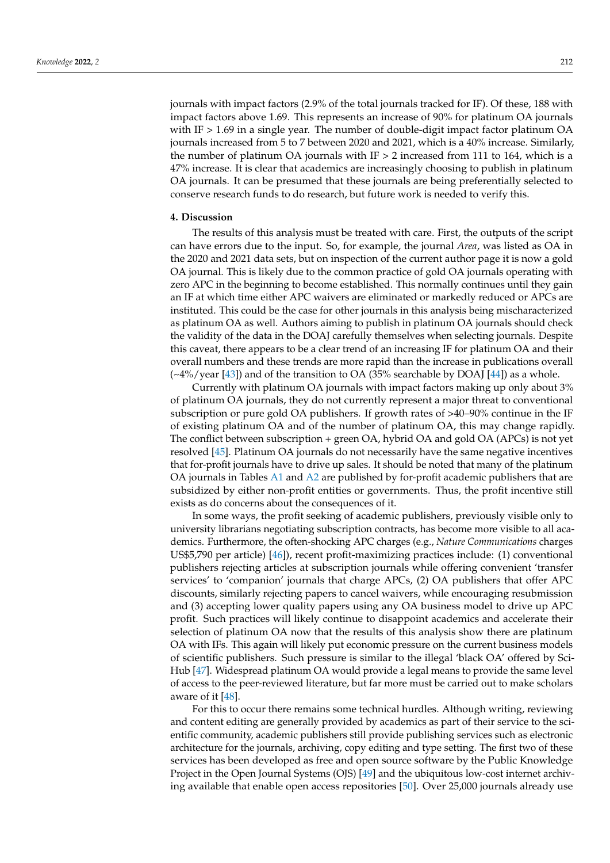journals with impact factors (2.9% of the total journals tracked for IF). Of these, 188 with impact factors above 1.69. This represents an increase of 90% for platinum OA journals with IF  $> 1.69$  in a single year. The number of double-digit impact factor platinum OA journals increased from 5 to 7 between 2020 and 2021, which is a 40% increase. Similarly, the number of platinum OA journals with  $IF > 2$  increased from 111 to 164, which is a 47% increase. It is clear that academics are increasingly choosing to publish in platinum OA journals. It can be presumed that these journals are being preferentially selected to conserve research funds to do research, but future work is needed to verify this.

#### **4. Discussion**

The results of this analysis must be treated with care. First, the outputs of the script can have errors due to the input. So, for example, the journal *Area*, was listed as OA in the 2020 and 2021 data sets, but on inspection of the current author page it is now a gold OA journal. This is likely due to the common practice of gold OA journals operating with zero APC in the beginning to become established. This normally continues until they gain an IF at which time either APC waivers are eliminated or markedly reduced or APCs are instituted. This could be the case for other journals in this analysis being mischaracterized as platinum OA as well. Authors aiming to publish in platinum OA journals should check the validity of the data in the DOAJ carefully themselves when selecting journals. Despite this caveat, there appears to be a clear trend of an increasing IF for platinum OA and their overall numbers and these trends are more rapid than the increase in publications overall (~4%/year [\[43\]](#page-15-18)) and of the transition to OA (35% searchable by DOAJ [\[44\]](#page-15-19)) as a whole.

Currently with platinum OA journals with impact factors making up only about 3% of platinum OA journals, they do not currently represent a major threat to conventional subscription or pure gold OA publishers. If growth rates of >40–90% continue in the IF of existing platinum OA and of the number of platinum OA, this may change rapidly. The conflict between subscription + green OA, hybrid OA and gold OA (APCs) is not yet resolved [\[45\]](#page-15-20). Platinum OA journals do not necessarily have the same negative incentives that for-profit journals have to drive up sales. It should be noted that many of the platinum OA journals in Tables [A1](#page-7-0) and [A2](#page-14-21) are published by for-profit academic publishers that are subsidized by either non-profit entities or governments. Thus, the profit incentive still exists as do concerns about the consequences of it.

In some ways, the profit seeking of academic publishers, previously visible only to university librarians negotiating subscription contracts, has become more visible to all academics. Furthermore, the often-shocking APC charges (e.g., *Nature Communications* charges US\$5,790 per article) [\[46\]](#page-15-21)), recent profit-maximizing practices include: (1) conventional publishers rejecting articles at subscription journals while offering convenient 'transfer services' to 'companion' journals that charge APCs, (2) OA publishers that offer APC discounts, similarly rejecting papers to cancel waivers, while encouraging resubmission and (3) accepting lower quality papers using any OA business model to drive up APC profit. Such practices will likely continue to disappoint academics and accelerate their selection of platinum OA now that the results of this analysis show there are platinum OA with IFs. This again will likely put economic pressure on the current business models of scientific publishers. Such pressure is similar to the illegal 'black OA' offered by Sci-Hub [\[47\]](#page-15-22). Widespread platinum OA would provide a legal means to provide the same level of access to the peer-reviewed literature, but far more must be carried out to make scholars aware of it [\[48\]](#page-15-23).

For this to occur there remains some technical hurdles. Although writing, reviewing and content editing are generally provided by academics as part of their service to the scientific community, academic publishers still provide publishing services such as electronic architecture for the journals, archiving, copy editing and type setting. The first two of these services has been developed as free and open source software by the Public Knowledge Project in the Open Journal Systems (OJS) [\[49\]](#page-15-24) and the ubiquitous low-cost internet archiving available that enable open access repositories [\[50\]](#page-15-25). Over 25,000 journals already use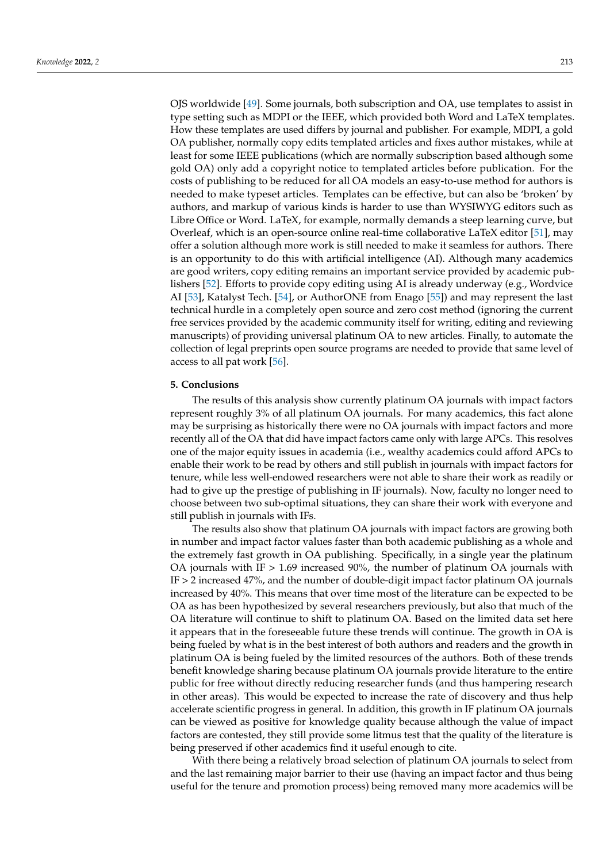OJS worldwide [\[49\]](#page-15-24). Some journals, both subscription and OA, use templates to assist in type setting such as MDPI or the IEEE, which provided both Word and LaTeX templates. How these templates are used differs by journal and publisher. For example, MDPI, a gold OA publisher, normally copy edits templated articles and fixes author mistakes, while at least for some IEEE publications (which are normally subscription based although some gold OA) only add a copyright notice to templated articles before publication. For the costs of publishing to be reduced for all OA models an easy-to-use method for authors is needed to make typeset articles. Templates can be effective, but can also be 'broken' by authors, and markup of various kinds is harder to use than WYSIWYG editors such as Libre Office or Word. LaTeX, for example, normally demands a steep learning curve, but Overleaf, which is an open-source online real-time collaborative LaTeX editor [\[51\]](#page-15-26), may offer a solution although more work is still needed to make it seamless for authors. There is an opportunity to do this with artificial intelligence (AI). Although many academics are good writers, copy editing remains an important service provided by academic publishers [\[52\]](#page-15-27). Efforts to provide copy editing using AI is already underway (e.g., Wordvice AI [\[53\]](#page-15-28), Katalyst Tech. [\[54\]](#page-15-29), or AuthorONE from Enago [\[55\]](#page-15-30)) and may represent the last technical hurdle in a completely open source and zero cost method (ignoring the current free services provided by the academic community itself for writing, editing and reviewing manuscripts) of providing universal platinum OA to new articles. Finally, to automate the collection of legal preprints open source programs are needed to provide that same level of access to all pat work [\[56\]](#page-15-31).

### **5. Conclusions**

The results of this analysis show currently platinum OA journals with impact factors represent roughly 3% of all platinum OA journals. For many academics, this fact alone may be surprising as historically there were no OA journals with impact factors and more recently all of the OA that did have impact factors came only with large APCs. This resolves one of the major equity issues in academia (i.e., wealthy academics could afford APCs to enable their work to be read by others and still publish in journals with impact factors for tenure, while less well-endowed researchers were not able to share their work as readily or had to give up the prestige of publishing in IF journals). Now, faculty no longer need to choose between two sub-optimal situations, they can share their work with everyone and still publish in journals with IFs.

The results also show that platinum OA journals with impact factors are growing both in number and impact factor values faster than both academic publishing as a whole and the extremely fast growth in OA publishing. Specifically, in a single year the platinum OA journals with IF  $> 1.69$  increased 90%, the number of platinum OA journals with IF > 2 increased 47%, and the number of double-digit impact factor platinum OA journals increased by 40%. This means that over time most of the literature can be expected to be OA as has been hypothesized by several researchers previously, but also that much of the OA literature will continue to shift to platinum OA. Based on the limited data set here it appears that in the foreseeable future these trends will continue. The growth in OA is being fueled by what is in the best interest of both authors and readers and the growth in platinum OA is being fueled by the limited resources of the authors. Both of these trends benefit knowledge sharing because platinum OA journals provide literature to the entire public for free without directly reducing researcher funds (and thus hampering research in other areas). This would be expected to increase the rate of discovery and thus help accelerate scientific progress in general. In addition, this growth in IF platinum OA journals can be viewed as positive for knowledge quality because although the value of impact factors are contested, they still provide some litmus test that the quality of the literature is being preserved if other academics find it useful enough to cite.

With there being a relatively broad selection of platinum OA journals to select from and the last remaining major barrier to their use (having an impact factor and thus being useful for the tenure and promotion process) being removed many more academics will be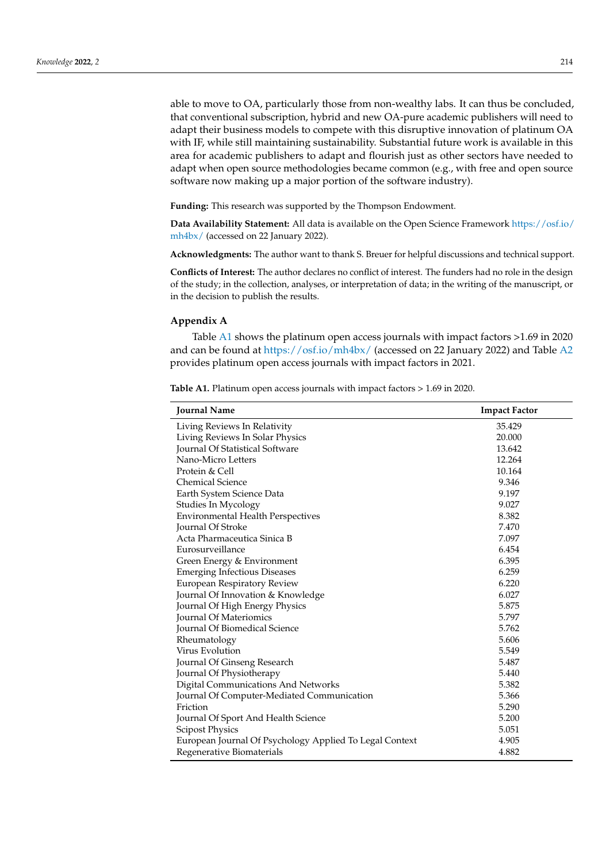able to move to OA, particularly those from non-wealthy labs. It can thus be concluded, that conventional subscription, hybrid and new OA-pure academic publishers will need to adapt their business models to compete with this disruptive innovation of platinum OA with IF, while still maintaining sustainability. Substantial future work is available in this area for academic publishers to adapt and flourish just as other sectors have needed to adapt when open source methodologies became common (e.g., with free and open source software now making up a major portion of the software industry).

**Funding:** This research was supported by the Thompson Endowment.

**Data Availability Statement:** All data is available on the Open Science Framework [https://osf.io/](https://osf.io/mh4bx/) [mh4bx/](https://osf.io/mh4bx/) (accessed on 22 January 2022).

**Acknowledgments:** The author want to thank S. Breuer for helpful discussions and technical support.

**Conflicts of Interest:** The author declares no conflict of interest. The funders had no role in the design of the study; in the collection, analyses, or interpretation of data; in the writing of the manuscript, or in the decision to publish the results.

### <span id="page-5-0"></span>**Appendix A**

Table [A1](#page-7-0) shows the platinum open access journals with impact factors >1.69 in 2020 and can be found at <https://osf.io/mh4bx/> (accessed on 22 January 2022) and Table [A2](#page-14-21) provides platinum open access journals with impact factors in 2021.

| <b>Journal Name</b>                                     | <b>Impact Factor</b> |
|---------------------------------------------------------|----------------------|
| Living Reviews In Relativity                            | 35.429               |
| Living Reviews In Solar Physics                         | 20.000               |
| <b>Journal Of Statistical Software</b>                  | 13.642               |
| Nano-Micro Letters                                      | 12.264               |
| Protein & Cell                                          | 10.164               |
| <b>Chemical Science</b>                                 | 9.346                |
| Earth System Science Data                               | 9.197                |
| Studies In Mycology                                     | 9.027                |
| <b>Environmental Health Perspectives</b>                | 8.382                |
| Journal Of Stroke                                       | 7.470                |
| Acta Pharmaceutica Sinica B                             | 7.097                |
| Eurosurveillance                                        | 6.454                |
| Green Energy & Environment                              | 6.395                |
| <b>Emerging Infectious Diseases</b>                     | 6.259                |
| European Respiratory Review                             | 6.220                |
| Journal Of Innovation & Knowledge                       | 6.027                |
| Journal Of High Energy Physics                          | 5.875                |
| <b>Journal Of Materiomics</b>                           | 5.797                |
| <b>Journal Of Biomedical Science</b>                    | 5.762                |
| Rheumatology                                            | 5.606                |
| Virus Evolution                                         | 5.549                |
| Journal Of Ginseng Research                             | 5.487                |
| Journal Of Physiotherapy                                | 5.440                |
| Digital Communications And Networks                     | 5.382                |
| Journal Of Computer-Mediated Communication              | 5.366                |
| Friction                                                | 5.290                |
| Journal Of Sport And Health Science                     | 5.200                |
| <b>Scipost Physics</b>                                  | 5.051                |
| European Journal Of Psychology Applied To Legal Context | 4.905                |
| Regenerative Biomaterials                               | 4.882                |

**Table A1.** Platinum open access journals with impact factors > 1.69 in 2020.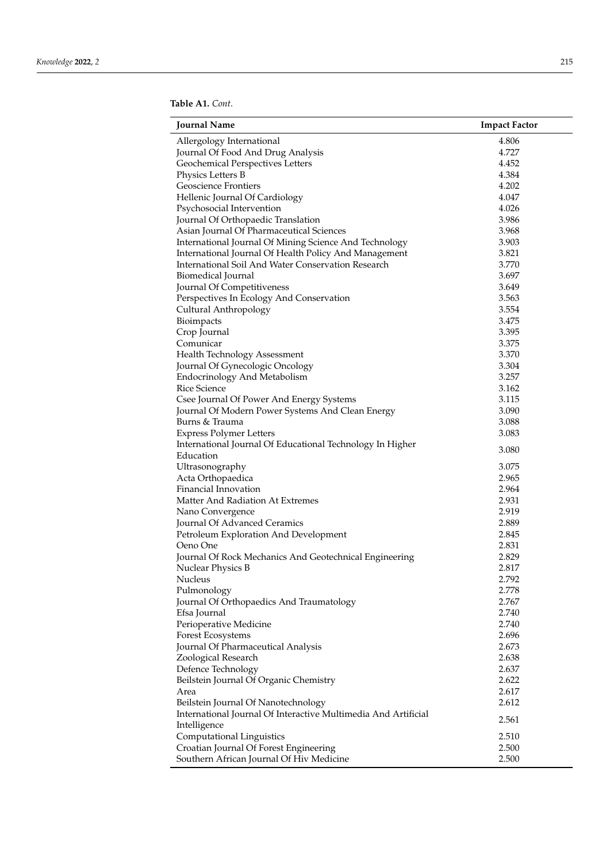| Allergology International<br>4.806<br>Journal Of Food And Drug Analysis<br>4.727<br>Geochemical Perspectives Letters<br>4.452<br>4.384<br>Physics Letters B<br><b>Geoscience Frontiers</b><br>4.202<br>Hellenic Journal Of Cardiology<br>4.047<br>4.026<br>Psychosocial Intervention<br>Journal Of Orthopaedic Translation<br>3.986<br>Asian Journal Of Pharmaceutical Sciences<br>3.968<br>International Journal Of Mining Science And Technology<br>3.903<br>International Journal Of Health Policy And Management<br>3.821<br>International Soil And Water Conservation Research<br>3.770<br>Biomedical Journal<br>3.697<br>Journal Of Competitiveness<br>3.649<br>Perspectives In Ecology And Conservation<br>3.563<br>Cultural Anthropology<br>3.554<br>3.475<br>Bioimpacts<br>3.395<br>Crop Journal<br>Comunicar<br>3.375<br>3.370<br>Health Technology Assessment<br>Journal Of Gynecologic Oncology<br>3.304<br>3.257<br><b>Endocrinology And Metabolism</b><br><b>Rice Science</b><br>3.162<br>Csee Journal Of Power And Energy Systems<br>3.115<br>Journal Of Modern Power Systems And Clean Energy<br>3.090<br>Burns & Trauma<br>3.088<br>3.083<br><b>Express Polymer Letters</b><br>International Journal Of Educational Technology In Higher<br>3.080<br>Education<br>3.075<br>Ultrasonography<br>Acta Orthopaedica<br>2.965<br>Financial Innovation<br>2.964<br>Matter And Radiation At Extremes<br>2.931<br>2.919<br>Nano Convergence<br>Journal Of Advanced Ceramics<br>2.889<br>Petroleum Exploration And Development<br>2.845<br>Oeno One<br>2.831<br>Journal Of Rock Mechanics And Geotechnical Engineering<br>2.829<br>Nuclear Physics B<br>2.817<br>Nucleus<br>2.792<br>Pulmonology<br>2.778<br>Journal Of Orthopaedics And Traumatology<br>2.767<br>2.740<br>Efsa Journal<br>2.740<br>Perioperative Medicine<br>Forest Ecosystems<br>2.696<br>2.673<br>Journal Of Pharmaceutical Analysis<br>Zoological Research<br>2.638<br>2.637<br>Defence Technology<br>Beilstein Journal Of Organic Chemistry<br>2.622<br>Area<br>2.617<br>Beilstein Journal Of Nanotechnology<br>2.612<br>International Journal Of Interactive Multimedia And Artificial<br>2.561<br>Intelligence<br>Computational Linguistics<br>2.510<br>2.500<br>Croatian Journal Of Forest Engineering<br>2.500 | <b>Journal Name</b>                      | <b>Impact Factor</b> |
|-------------------------------------------------------------------------------------------------------------------------------------------------------------------------------------------------------------------------------------------------------------------------------------------------------------------------------------------------------------------------------------------------------------------------------------------------------------------------------------------------------------------------------------------------------------------------------------------------------------------------------------------------------------------------------------------------------------------------------------------------------------------------------------------------------------------------------------------------------------------------------------------------------------------------------------------------------------------------------------------------------------------------------------------------------------------------------------------------------------------------------------------------------------------------------------------------------------------------------------------------------------------------------------------------------------------------------------------------------------------------------------------------------------------------------------------------------------------------------------------------------------------------------------------------------------------------------------------------------------------------------------------------------------------------------------------------------------------------------------------------------------------------------------------------------------------------------------------------------------------------------------------------------------------------------------------------------------------------------------------------------------------------------------------------------------------------------------------------------------------------------------------------------------------------------------------------------------------------------------------------------------------------------------------------|------------------------------------------|----------------------|
|                                                                                                                                                                                                                                                                                                                                                                                                                                                                                                                                                                                                                                                                                                                                                                                                                                                                                                                                                                                                                                                                                                                                                                                                                                                                                                                                                                                                                                                                                                                                                                                                                                                                                                                                                                                                                                                                                                                                                                                                                                                                                                                                                                                                                                                                                                 |                                          |                      |
|                                                                                                                                                                                                                                                                                                                                                                                                                                                                                                                                                                                                                                                                                                                                                                                                                                                                                                                                                                                                                                                                                                                                                                                                                                                                                                                                                                                                                                                                                                                                                                                                                                                                                                                                                                                                                                                                                                                                                                                                                                                                                                                                                                                                                                                                                                 |                                          |                      |
|                                                                                                                                                                                                                                                                                                                                                                                                                                                                                                                                                                                                                                                                                                                                                                                                                                                                                                                                                                                                                                                                                                                                                                                                                                                                                                                                                                                                                                                                                                                                                                                                                                                                                                                                                                                                                                                                                                                                                                                                                                                                                                                                                                                                                                                                                                 |                                          |                      |
|                                                                                                                                                                                                                                                                                                                                                                                                                                                                                                                                                                                                                                                                                                                                                                                                                                                                                                                                                                                                                                                                                                                                                                                                                                                                                                                                                                                                                                                                                                                                                                                                                                                                                                                                                                                                                                                                                                                                                                                                                                                                                                                                                                                                                                                                                                 |                                          |                      |
|                                                                                                                                                                                                                                                                                                                                                                                                                                                                                                                                                                                                                                                                                                                                                                                                                                                                                                                                                                                                                                                                                                                                                                                                                                                                                                                                                                                                                                                                                                                                                                                                                                                                                                                                                                                                                                                                                                                                                                                                                                                                                                                                                                                                                                                                                                 |                                          |                      |
|                                                                                                                                                                                                                                                                                                                                                                                                                                                                                                                                                                                                                                                                                                                                                                                                                                                                                                                                                                                                                                                                                                                                                                                                                                                                                                                                                                                                                                                                                                                                                                                                                                                                                                                                                                                                                                                                                                                                                                                                                                                                                                                                                                                                                                                                                                 |                                          |                      |
|                                                                                                                                                                                                                                                                                                                                                                                                                                                                                                                                                                                                                                                                                                                                                                                                                                                                                                                                                                                                                                                                                                                                                                                                                                                                                                                                                                                                                                                                                                                                                                                                                                                                                                                                                                                                                                                                                                                                                                                                                                                                                                                                                                                                                                                                                                 |                                          |                      |
|                                                                                                                                                                                                                                                                                                                                                                                                                                                                                                                                                                                                                                                                                                                                                                                                                                                                                                                                                                                                                                                                                                                                                                                                                                                                                                                                                                                                                                                                                                                                                                                                                                                                                                                                                                                                                                                                                                                                                                                                                                                                                                                                                                                                                                                                                                 |                                          |                      |
|                                                                                                                                                                                                                                                                                                                                                                                                                                                                                                                                                                                                                                                                                                                                                                                                                                                                                                                                                                                                                                                                                                                                                                                                                                                                                                                                                                                                                                                                                                                                                                                                                                                                                                                                                                                                                                                                                                                                                                                                                                                                                                                                                                                                                                                                                                 |                                          |                      |
|                                                                                                                                                                                                                                                                                                                                                                                                                                                                                                                                                                                                                                                                                                                                                                                                                                                                                                                                                                                                                                                                                                                                                                                                                                                                                                                                                                                                                                                                                                                                                                                                                                                                                                                                                                                                                                                                                                                                                                                                                                                                                                                                                                                                                                                                                                 |                                          |                      |
|                                                                                                                                                                                                                                                                                                                                                                                                                                                                                                                                                                                                                                                                                                                                                                                                                                                                                                                                                                                                                                                                                                                                                                                                                                                                                                                                                                                                                                                                                                                                                                                                                                                                                                                                                                                                                                                                                                                                                                                                                                                                                                                                                                                                                                                                                                 |                                          |                      |
|                                                                                                                                                                                                                                                                                                                                                                                                                                                                                                                                                                                                                                                                                                                                                                                                                                                                                                                                                                                                                                                                                                                                                                                                                                                                                                                                                                                                                                                                                                                                                                                                                                                                                                                                                                                                                                                                                                                                                                                                                                                                                                                                                                                                                                                                                                 |                                          |                      |
|                                                                                                                                                                                                                                                                                                                                                                                                                                                                                                                                                                                                                                                                                                                                                                                                                                                                                                                                                                                                                                                                                                                                                                                                                                                                                                                                                                                                                                                                                                                                                                                                                                                                                                                                                                                                                                                                                                                                                                                                                                                                                                                                                                                                                                                                                                 |                                          |                      |
|                                                                                                                                                                                                                                                                                                                                                                                                                                                                                                                                                                                                                                                                                                                                                                                                                                                                                                                                                                                                                                                                                                                                                                                                                                                                                                                                                                                                                                                                                                                                                                                                                                                                                                                                                                                                                                                                                                                                                                                                                                                                                                                                                                                                                                                                                                 |                                          |                      |
|                                                                                                                                                                                                                                                                                                                                                                                                                                                                                                                                                                                                                                                                                                                                                                                                                                                                                                                                                                                                                                                                                                                                                                                                                                                                                                                                                                                                                                                                                                                                                                                                                                                                                                                                                                                                                                                                                                                                                                                                                                                                                                                                                                                                                                                                                                 |                                          |                      |
|                                                                                                                                                                                                                                                                                                                                                                                                                                                                                                                                                                                                                                                                                                                                                                                                                                                                                                                                                                                                                                                                                                                                                                                                                                                                                                                                                                                                                                                                                                                                                                                                                                                                                                                                                                                                                                                                                                                                                                                                                                                                                                                                                                                                                                                                                                 |                                          |                      |
|                                                                                                                                                                                                                                                                                                                                                                                                                                                                                                                                                                                                                                                                                                                                                                                                                                                                                                                                                                                                                                                                                                                                                                                                                                                                                                                                                                                                                                                                                                                                                                                                                                                                                                                                                                                                                                                                                                                                                                                                                                                                                                                                                                                                                                                                                                 |                                          |                      |
|                                                                                                                                                                                                                                                                                                                                                                                                                                                                                                                                                                                                                                                                                                                                                                                                                                                                                                                                                                                                                                                                                                                                                                                                                                                                                                                                                                                                                                                                                                                                                                                                                                                                                                                                                                                                                                                                                                                                                                                                                                                                                                                                                                                                                                                                                                 |                                          |                      |
|                                                                                                                                                                                                                                                                                                                                                                                                                                                                                                                                                                                                                                                                                                                                                                                                                                                                                                                                                                                                                                                                                                                                                                                                                                                                                                                                                                                                                                                                                                                                                                                                                                                                                                                                                                                                                                                                                                                                                                                                                                                                                                                                                                                                                                                                                                 |                                          |                      |
|                                                                                                                                                                                                                                                                                                                                                                                                                                                                                                                                                                                                                                                                                                                                                                                                                                                                                                                                                                                                                                                                                                                                                                                                                                                                                                                                                                                                                                                                                                                                                                                                                                                                                                                                                                                                                                                                                                                                                                                                                                                                                                                                                                                                                                                                                                 |                                          |                      |
|                                                                                                                                                                                                                                                                                                                                                                                                                                                                                                                                                                                                                                                                                                                                                                                                                                                                                                                                                                                                                                                                                                                                                                                                                                                                                                                                                                                                                                                                                                                                                                                                                                                                                                                                                                                                                                                                                                                                                                                                                                                                                                                                                                                                                                                                                                 |                                          |                      |
|                                                                                                                                                                                                                                                                                                                                                                                                                                                                                                                                                                                                                                                                                                                                                                                                                                                                                                                                                                                                                                                                                                                                                                                                                                                                                                                                                                                                                                                                                                                                                                                                                                                                                                                                                                                                                                                                                                                                                                                                                                                                                                                                                                                                                                                                                                 |                                          |                      |
|                                                                                                                                                                                                                                                                                                                                                                                                                                                                                                                                                                                                                                                                                                                                                                                                                                                                                                                                                                                                                                                                                                                                                                                                                                                                                                                                                                                                                                                                                                                                                                                                                                                                                                                                                                                                                                                                                                                                                                                                                                                                                                                                                                                                                                                                                                 |                                          |                      |
|                                                                                                                                                                                                                                                                                                                                                                                                                                                                                                                                                                                                                                                                                                                                                                                                                                                                                                                                                                                                                                                                                                                                                                                                                                                                                                                                                                                                                                                                                                                                                                                                                                                                                                                                                                                                                                                                                                                                                                                                                                                                                                                                                                                                                                                                                                 |                                          |                      |
|                                                                                                                                                                                                                                                                                                                                                                                                                                                                                                                                                                                                                                                                                                                                                                                                                                                                                                                                                                                                                                                                                                                                                                                                                                                                                                                                                                                                                                                                                                                                                                                                                                                                                                                                                                                                                                                                                                                                                                                                                                                                                                                                                                                                                                                                                                 |                                          |                      |
|                                                                                                                                                                                                                                                                                                                                                                                                                                                                                                                                                                                                                                                                                                                                                                                                                                                                                                                                                                                                                                                                                                                                                                                                                                                                                                                                                                                                                                                                                                                                                                                                                                                                                                                                                                                                                                                                                                                                                                                                                                                                                                                                                                                                                                                                                                 |                                          |                      |
|                                                                                                                                                                                                                                                                                                                                                                                                                                                                                                                                                                                                                                                                                                                                                                                                                                                                                                                                                                                                                                                                                                                                                                                                                                                                                                                                                                                                                                                                                                                                                                                                                                                                                                                                                                                                                                                                                                                                                                                                                                                                                                                                                                                                                                                                                                 |                                          |                      |
|                                                                                                                                                                                                                                                                                                                                                                                                                                                                                                                                                                                                                                                                                                                                                                                                                                                                                                                                                                                                                                                                                                                                                                                                                                                                                                                                                                                                                                                                                                                                                                                                                                                                                                                                                                                                                                                                                                                                                                                                                                                                                                                                                                                                                                                                                                 |                                          |                      |
|                                                                                                                                                                                                                                                                                                                                                                                                                                                                                                                                                                                                                                                                                                                                                                                                                                                                                                                                                                                                                                                                                                                                                                                                                                                                                                                                                                                                                                                                                                                                                                                                                                                                                                                                                                                                                                                                                                                                                                                                                                                                                                                                                                                                                                                                                                 |                                          |                      |
|                                                                                                                                                                                                                                                                                                                                                                                                                                                                                                                                                                                                                                                                                                                                                                                                                                                                                                                                                                                                                                                                                                                                                                                                                                                                                                                                                                                                                                                                                                                                                                                                                                                                                                                                                                                                                                                                                                                                                                                                                                                                                                                                                                                                                                                                                                 |                                          |                      |
|                                                                                                                                                                                                                                                                                                                                                                                                                                                                                                                                                                                                                                                                                                                                                                                                                                                                                                                                                                                                                                                                                                                                                                                                                                                                                                                                                                                                                                                                                                                                                                                                                                                                                                                                                                                                                                                                                                                                                                                                                                                                                                                                                                                                                                                                                                 |                                          |                      |
|                                                                                                                                                                                                                                                                                                                                                                                                                                                                                                                                                                                                                                                                                                                                                                                                                                                                                                                                                                                                                                                                                                                                                                                                                                                                                                                                                                                                                                                                                                                                                                                                                                                                                                                                                                                                                                                                                                                                                                                                                                                                                                                                                                                                                                                                                                 |                                          |                      |
|                                                                                                                                                                                                                                                                                                                                                                                                                                                                                                                                                                                                                                                                                                                                                                                                                                                                                                                                                                                                                                                                                                                                                                                                                                                                                                                                                                                                                                                                                                                                                                                                                                                                                                                                                                                                                                                                                                                                                                                                                                                                                                                                                                                                                                                                                                 |                                          |                      |
|                                                                                                                                                                                                                                                                                                                                                                                                                                                                                                                                                                                                                                                                                                                                                                                                                                                                                                                                                                                                                                                                                                                                                                                                                                                                                                                                                                                                                                                                                                                                                                                                                                                                                                                                                                                                                                                                                                                                                                                                                                                                                                                                                                                                                                                                                                 |                                          |                      |
|                                                                                                                                                                                                                                                                                                                                                                                                                                                                                                                                                                                                                                                                                                                                                                                                                                                                                                                                                                                                                                                                                                                                                                                                                                                                                                                                                                                                                                                                                                                                                                                                                                                                                                                                                                                                                                                                                                                                                                                                                                                                                                                                                                                                                                                                                                 |                                          |                      |
|                                                                                                                                                                                                                                                                                                                                                                                                                                                                                                                                                                                                                                                                                                                                                                                                                                                                                                                                                                                                                                                                                                                                                                                                                                                                                                                                                                                                                                                                                                                                                                                                                                                                                                                                                                                                                                                                                                                                                                                                                                                                                                                                                                                                                                                                                                 |                                          |                      |
|                                                                                                                                                                                                                                                                                                                                                                                                                                                                                                                                                                                                                                                                                                                                                                                                                                                                                                                                                                                                                                                                                                                                                                                                                                                                                                                                                                                                                                                                                                                                                                                                                                                                                                                                                                                                                                                                                                                                                                                                                                                                                                                                                                                                                                                                                                 |                                          |                      |
|                                                                                                                                                                                                                                                                                                                                                                                                                                                                                                                                                                                                                                                                                                                                                                                                                                                                                                                                                                                                                                                                                                                                                                                                                                                                                                                                                                                                                                                                                                                                                                                                                                                                                                                                                                                                                                                                                                                                                                                                                                                                                                                                                                                                                                                                                                 |                                          |                      |
|                                                                                                                                                                                                                                                                                                                                                                                                                                                                                                                                                                                                                                                                                                                                                                                                                                                                                                                                                                                                                                                                                                                                                                                                                                                                                                                                                                                                                                                                                                                                                                                                                                                                                                                                                                                                                                                                                                                                                                                                                                                                                                                                                                                                                                                                                                 |                                          |                      |
|                                                                                                                                                                                                                                                                                                                                                                                                                                                                                                                                                                                                                                                                                                                                                                                                                                                                                                                                                                                                                                                                                                                                                                                                                                                                                                                                                                                                                                                                                                                                                                                                                                                                                                                                                                                                                                                                                                                                                                                                                                                                                                                                                                                                                                                                                                 |                                          |                      |
|                                                                                                                                                                                                                                                                                                                                                                                                                                                                                                                                                                                                                                                                                                                                                                                                                                                                                                                                                                                                                                                                                                                                                                                                                                                                                                                                                                                                                                                                                                                                                                                                                                                                                                                                                                                                                                                                                                                                                                                                                                                                                                                                                                                                                                                                                                 |                                          |                      |
|                                                                                                                                                                                                                                                                                                                                                                                                                                                                                                                                                                                                                                                                                                                                                                                                                                                                                                                                                                                                                                                                                                                                                                                                                                                                                                                                                                                                                                                                                                                                                                                                                                                                                                                                                                                                                                                                                                                                                                                                                                                                                                                                                                                                                                                                                                 |                                          |                      |
|                                                                                                                                                                                                                                                                                                                                                                                                                                                                                                                                                                                                                                                                                                                                                                                                                                                                                                                                                                                                                                                                                                                                                                                                                                                                                                                                                                                                                                                                                                                                                                                                                                                                                                                                                                                                                                                                                                                                                                                                                                                                                                                                                                                                                                                                                                 |                                          |                      |
|                                                                                                                                                                                                                                                                                                                                                                                                                                                                                                                                                                                                                                                                                                                                                                                                                                                                                                                                                                                                                                                                                                                                                                                                                                                                                                                                                                                                                                                                                                                                                                                                                                                                                                                                                                                                                                                                                                                                                                                                                                                                                                                                                                                                                                                                                                 |                                          |                      |
|                                                                                                                                                                                                                                                                                                                                                                                                                                                                                                                                                                                                                                                                                                                                                                                                                                                                                                                                                                                                                                                                                                                                                                                                                                                                                                                                                                                                                                                                                                                                                                                                                                                                                                                                                                                                                                                                                                                                                                                                                                                                                                                                                                                                                                                                                                 |                                          |                      |
|                                                                                                                                                                                                                                                                                                                                                                                                                                                                                                                                                                                                                                                                                                                                                                                                                                                                                                                                                                                                                                                                                                                                                                                                                                                                                                                                                                                                                                                                                                                                                                                                                                                                                                                                                                                                                                                                                                                                                                                                                                                                                                                                                                                                                                                                                                 |                                          |                      |
|                                                                                                                                                                                                                                                                                                                                                                                                                                                                                                                                                                                                                                                                                                                                                                                                                                                                                                                                                                                                                                                                                                                                                                                                                                                                                                                                                                                                                                                                                                                                                                                                                                                                                                                                                                                                                                                                                                                                                                                                                                                                                                                                                                                                                                                                                                 |                                          |                      |
|                                                                                                                                                                                                                                                                                                                                                                                                                                                                                                                                                                                                                                                                                                                                                                                                                                                                                                                                                                                                                                                                                                                                                                                                                                                                                                                                                                                                                                                                                                                                                                                                                                                                                                                                                                                                                                                                                                                                                                                                                                                                                                                                                                                                                                                                                                 |                                          |                      |
|                                                                                                                                                                                                                                                                                                                                                                                                                                                                                                                                                                                                                                                                                                                                                                                                                                                                                                                                                                                                                                                                                                                                                                                                                                                                                                                                                                                                                                                                                                                                                                                                                                                                                                                                                                                                                                                                                                                                                                                                                                                                                                                                                                                                                                                                                                 |                                          |                      |
|                                                                                                                                                                                                                                                                                                                                                                                                                                                                                                                                                                                                                                                                                                                                                                                                                                                                                                                                                                                                                                                                                                                                                                                                                                                                                                                                                                                                                                                                                                                                                                                                                                                                                                                                                                                                                                                                                                                                                                                                                                                                                                                                                                                                                                                                                                 |                                          |                      |
|                                                                                                                                                                                                                                                                                                                                                                                                                                                                                                                                                                                                                                                                                                                                                                                                                                                                                                                                                                                                                                                                                                                                                                                                                                                                                                                                                                                                                                                                                                                                                                                                                                                                                                                                                                                                                                                                                                                                                                                                                                                                                                                                                                                                                                                                                                 |                                          |                      |
|                                                                                                                                                                                                                                                                                                                                                                                                                                                                                                                                                                                                                                                                                                                                                                                                                                                                                                                                                                                                                                                                                                                                                                                                                                                                                                                                                                                                                                                                                                                                                                                                                                                                                                                                                                                                                                                                                                                                                                                                                                                                                                                                                                                                                                                                                                 |                                          |                      |
|                                                                                                                                                                                                                                                                                                                                                                                                                                                                                                                                                                                                                                                                                                                                                                                                                                                                                                                                                                                                                                                                                                                                                                                                                                                                                                                                                                                                                                                                                                                                                                                                                                                                                                                                                                                                                                                                                                                                                                                                                                                                                                                                                                                                                                                                                                 |                                          |                      |
|                                                                                                                                                                                                                                                                                                                                                                                                                                                                                                                                                                                                                                                                                                                                                                                                                                                                                                                                                                                                                                                                                                                                                                                                                                                                                                                                                                                                                                                                                                                                                                                                                                                                                                                                                                                                                                                                                                                                                                                                                                                                                                                                                                                                                                                                                                 | Southern African Journal Of Hiv Medicine |                      |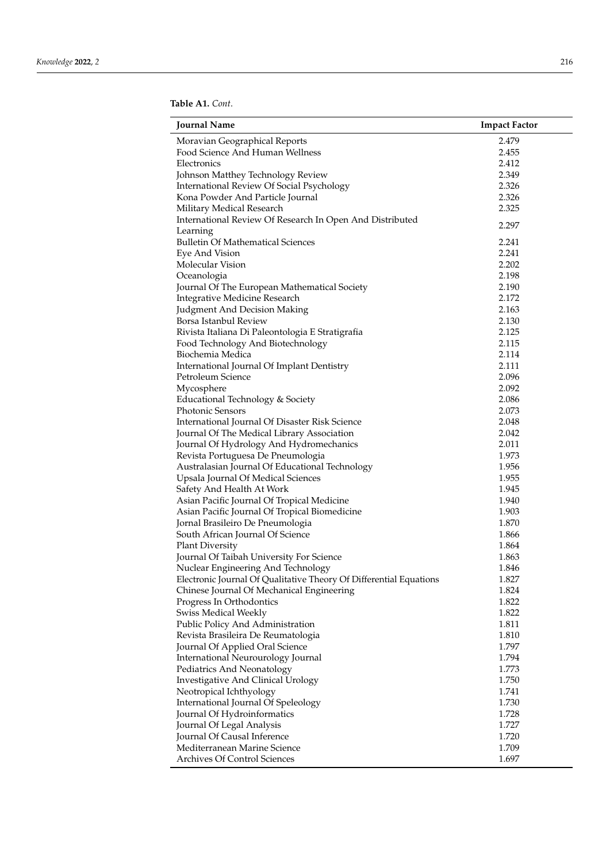<span id="page-7-0"></span>

| <b>Journal Name</b>                                                | <b>Impact Factor</b> |
|--------------------------------------------------------------------|----------------------|
| Moravian Geographical Reports                                      | 2.479                |
| Food Science And Human Wellness                                    | 2.455                |
| Electronics                                                        | 2.412                |
| Johnson Matthey Technology Review                                  | 2.349                |
| International Review Of Social Psychology                          | 2.326                |
| Kona Powder And Particle Journal                                   | 2.326                |
| Military Medical Research                                          | 2.325                |
| International Review Of Research In Open And Distributed           |                      |
| Learning                                                           | 2.297                |
| <b>Bulletin Of Mathematical Sciences</b>                           | 2.241                |
| Eye And Vision                                                     | 2.241                |
| Molecular Vision                                                   | 2.202                |
| Oceanologia                                                        | 2.198                |
| Journal Of The European Mathematical Society                       | 2.190                |
|                                                                    | 2.172                |
| <b>Integrative Medicine Research</b>                               |                      |
| Judgment And Decision Making                                       | 2.163                |
| Borsa Istanbul Review                                              | 2.130                |
| Rivista Italiana Di Paleontologia E Stratigrafia                   | 2.125                |
| Food Technology And Biotechnology                                  | 2.115                |
| Biochemia Medica                                                   | 2.114                |
| International Journal Of Implant Dentistry                         | 2.111                |
| Petroleum Science                                                  | 2.096                |
| Mycosphere                                                         | 2.092                |
| Educational Technology & Society                                   | 2.086                |
| Photonic Sensors                                                   | 2.073                |
| International Journal Of Disaster Risk Science                     | 2.048                |
| Journal Of The Medical Library Association                         | 2.042                |
| Journal Of Hydrology And Hydromechanics                            | 2.011                |
| Revista Portuguesa De Pneumologia                                  | 1.973                |
| Australasian Journal Of Educational Technology                     | 1.956                |
| Upsala Journal Of Medical Sciences                                 | 1.955                |
| Safety And Health At Work                                          | 1.945                |
| Asian Pacific Journal Of Tropical Medicine                         | 1.940                |
| Asian Pacific Journal Of Tropical Biomedicine                      | 1.903                |
| Jornal Brasileiro De Pneumologia                                   | 1.870                |
| South African Journal Of Science                                   | 1.866                |
| <b>Plant Diversity</b>                                             | 1.864                |
| Journal Of Taibah University For Science                           | 1.863                |
| Nuclear Engineering And Technology                                 | 1.846                |
| Electronic Journal Of Qualitative Theory Of Differential Equations | 1.827                |
| Chinese Journal Of Mechanical Engineering                          | 1.824                |
| Progress In Orthodontics                                           | 1.822                |
| <b>Swiss Medical Weekly</b>                                        | 1.822                |
| Public Policy And Administration                                   | 1.811                |
| Revista Brasileira De Reumatologia                                 | 1.810                |
| Journal Of Applied Oral Science                                    | 1.797                |
| International Neurourology Journal                                 | 1.794                |
| Pediatrics And Neonatology                                         | 1.773                |
| <b>Investigative And Clinical Urology</b>                          | 1.750                |
| Neotropical Ichthyology                                            | 1.741                |
| International Journal Of Speleology                                | 1.730                |
| Journal Of Hydroinformatics                                        | 1.728                |
|                                                                    | 1.727                |
| Journal Of Legal Analysis<br>Journal Of Causal Inference           |                      |
|                                                                    | 1.720                |
| Mediterranean Marine Science                                       | 1.709                |
| Archives Of Control Sciences                                       | 1.697                |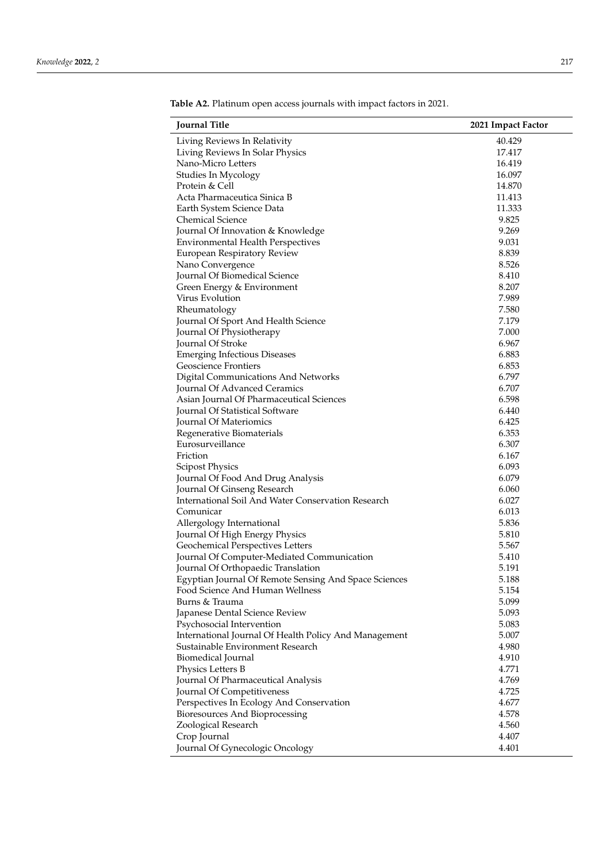| <b>Journal Title</b>                                                                      | 2021 Impact Factor |
|-------------------------------------------------------------------------------------------|--------------------|
| Living Reviews In Relativity                                                              | 40.429             |
| Living Reviews In Solar Physics                                                           | 17.417             |
| Nano-Micro Letters                                                                        | 16.419             |
| Studies In Mycology                                                                       | 16.097             |
| Protein & Cell                                                                            | 14.870             |
| Acta Pharmaceutica Sinica B                                                               | 11.413             |
| Earth System Science Data                                                                 | 11.333             |
| <b>Chemical Science</b>                                                                   | 9.825              |
| Journal Of Innovation & Knowledge                                                         | 9.269              |
| <b>Environmental Health Perspectives</b>                                                  | 9.031              |
| European Respiratory Review                                                               | 8.839              |
| Nano Convergence                                                                          | 8.526              |
| Journal Of Biomedical Science                                                             | 8.410              |
| Green Energy & Environment                                                                | 8.207              |
| Virus Evolution                                                                           | 7.989              |
| Rheumatology                                                                              | 7.580              |
| Journal Of Sport And Health Science                                                       | 7.179              |
| Journal Of Physiotherapy                                                                  | 7.000              |
| Journal Of Stroke                                                                         | 6.967              |
| <b>Emerging Infectious Diseases</b>                                                       | 6.883              |
| Geoscience Frontiers                                                                      | 6.853              |
| Digital Communications And Networks                                                       | 6.797              |
| Journal Of Advanced Ceramics                                                              | 6.707              |
| Asian Journal Of Pharmaceutical Sciences                                                  | 6.598              |
| <b>Journal Of Statistical Software</b>                                                    | 6.440              |
| Journal Of Materiomics                                                                    | 6.425              |
| Regenerative Biomaterials                                                                 | 6.353              |
| Eurosurveillance                                                                          | 6.307              |
| Friction                                                                                  | 6.167              |
| <b>Scipost Physics</b>                                                                    | 6.093              |
| Journal Of Food And Drug Analysis                                                         | 6.079              |
| Journal Of Ginseng Research                                                               | 6.060              |
| International Soil And Water Conservation Research                                        | 6.027              |
| Comunicar                                                                                 | 6.013              |
| Allergology International                                                                 | 5.836              |
| Journal Of High Energy Physics                                                            | 5.810              |
| Geochemical Perspectives Letters                                                          | 5.567              |
| Journal Of Computer-Mediated Communication                                                | 5.410              |
| Journal Of Orthopaedic Translation                                                        | 5.191              |
| Egyptian Journal Of Remote Sensing And Space Sciences                                     | 5.188              |
| Food Science And Human Wellness<br>Burns & Trauma                                         | 5.154              |
|                                                                                           | 5.099              |
| Japanese Dental Science Review                                                            | 5.093              |
| Psychosocial Intervention                                                                 | 5.083              |
| International Journal Of Health Policy And Management<br>Sustainable Environment Research | 5.007              |
|                                                                                           | 4.980<br>4.910     |
| Biomedical Journal                                                                        | 4.771              |
| Physics Letters B                                                                         |                    |
| Journal Of Pharmaceutical Analysis                                                        | 4.769              |
| Journal Of Competitiveness                                                                | 4.725<br>4.677     |
| Perspectives In Ecology And Conservation                                                  | 4.578              |
| Bioresources And Bioprocessing                                                            | 4.560              |
| Zoological Research                                                                       | 4.407              |
| Crop Journal<br>Journal Of Gynecologic Oncology                                           | 4.401              |
|                                                                                           |                    |

**Table A2.** Platinum open access journals with impact factors in 2021.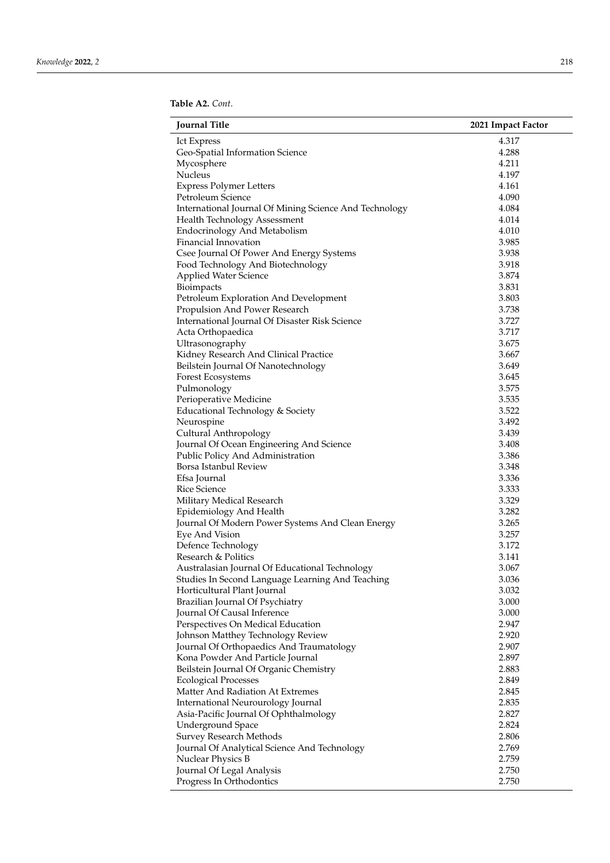| 4.317<br>Ict Express<br>Geo-Spatial Information Science<br>4.288<br>Mycosphere<br>4.211<br>4.197<br>Nucleus<br><b>Express Polymer Letters</b><br>4.161<br>Petroleum Science<br>4.090<br>International Journal Of Mining Science And Technology<br>4.084 |  |
|---------------------------------------------------------------------------------------------------------------------------------------------------------------------------------------------------------------------------------------------------------|--|
|                                                                                                                                                                                                                                                         |  |
|                                                                                                                                                                                                                                                         |  |
|                                                                                                                                                                                                                                                         |  |
|                                                                                                                                                                                                                                                         |  |
|                                                                                                                                                                                                                                                         |  |
|                                                                                                                                                                                                                                                         |  |
|                                                                                                                                                                                                                                                         |  |
| Health Technology Assessment<br>4.014                                                                                                                                                                                                                   |  |
| <b>Endocrinology And Metabolism</b><br>4.010                                                                                                                                                                                                            |  |
| Financial Innovation<br>3.985                                                                                                                                                                                                                           |  |
| Csee Journal Of Power And Energy Systems<br>3.938                                                                                                                                                                                                       |  |
| 3.918<br>Food Technology And Biotechnology                                                                                                                                                                                                              |  |
| 3.874<br><b>Applied Water Science</b>                                                                                                                                                                                                                   |  |
| Bioimpacts<br>3.831                                                                                                                                                                                                                                     |  |
| Petroleum Exploration And Development<br>3.803                                                                                                                                                                                                          |  |
| Propulsion And Power Research<br>3.738                                                                                                                                                                                                                  |  |
| International Journal Of Disaster Risk Science<br>3.727                                                                                                                                                                                                 |  |
| Acta Orthopaedica<br>3.717                                                                                                                                                                                                                              |  |
| Ultrasonography<br>3.675                                                                                                                                                                                                                                |  |
| Kidney Research And Clinical Practice<br>3.667                                                                                                                                                                                                          |  |
| 3.649<br>Beilstein Journal Of Nanotechnology                                                                                                                                                                                                            |  |
| Forest Ecosystems<br>3.645                                                                                                                                                                                                                              |  |
| 3.575<br>Pulmonology                                                                                                                                                                                                                                    |  |
| Perioperative Medicine<br>3.535                                                                                                                                                                                                                         |  |
| 3.522<br>Educational Technology & Society                                                                                                                                                                                                               |  |
| Neurospine<br>3.492                                                                                                                                                                                                                                     |  |
| Cultural Anthropology<br>3.439                                                                                                                                                                                                                          |  |
| Journal Of Ocean Engineering And Science<br>3.408                                                                                                                                                                                                       |  |
| Public Policy And Administration<br>3.386                                                                                                                                                                                                               |  |
| Borsa Istanbul Review<br>3.348                                                                                                                                                                                                                          |  |
| 3.336<br>Efsa Journal                                                                                                                                                                                                                                   |  |
| 3.333<br>Rice Science                                                                                                                                                                                                                                   |  |
| 3.329<br>Military Medical Research                                                                                                                                                                                                                      |  |
| 3.282<br>Epidemiology And Health                                                                                                                                                                                                                        |  |
| Journal Of Modern Power Systems And Clean Energy<br>3.265                                                                                                                                                                                               |  |
| 3.257<br>Eye And Vision                                                                                                                                                                                                                                 |  |
| Defence Technology<br>3.172                                                                                                                                                                                                                             |  |
| Research & Politics<br>3.141                                                                                                                                                                                                                            |  |
| Australasian Journal Of Educational Technology<br>3.067                                                                                                                                                                                                 |  |
| 3.036<br>Studies In Second Language Learning And Teaching                                                                                                                                                                                               |  |
| 3.032<br>Horticultural Plant Journal                                                                                                                                                                                                                    |  |
| Brazilian Journal Of Psychiatry<br>3.000                                                                                                                                                                                                                |  |
| Journal Of Causal Inference<br>3.000                                                                                                                                                                                                                    |  |
| Perspectives On Medical Education<br>2.947                                                                                                                                                                                                              |  |
| Johnson Matthey Technology Review<br>2.920                                                                                                                                                                                                              |  |
| 2.907<br>Journal Of Orthopaedics And Traumatology                                                                                                                                                                                                       |  |
| Kona Powder And Particle Journal<br>2.897                                                                                                                                                                                                               |  |
| Beilstein Journal Of Organic Chemistry<br>2.883                                                                                                                                                                                                         |  |
| 2.849<br><b>Ecological Processes</b>                                                                                                                                                                                                                    |  |
| Matter And Radiation At Extremes<br>2.845                                                                                                                                                                                                               |  |
| International Neurourology Journal<br>2.835                                                                                                                                                                                                             |  |
| 2.827<br>Asia-Pacific Journal Of Ophthalmology                                                                                                                                                                                                          |  |
| 2.824<br><b>Underground Space</b>                                                                                                                                                                                                                       |  |
| 2.806<br><b>Survey Research Methods</b>                                                                                                                                                                                                                 |  |
| Journal Of Analytical Science And Technology<br>2.769                                                                                                                                                                                                   |  |
| 2.759<br>Nuclear Physics B                                                                                                                                                                                                                              |  |
| Journal Of Legal Analysis<br>2.750                                                                                                                                                                                                                      |  |
| 2.750<br>Progress In Orthodontics                                                                                                                                                                                                                       |  |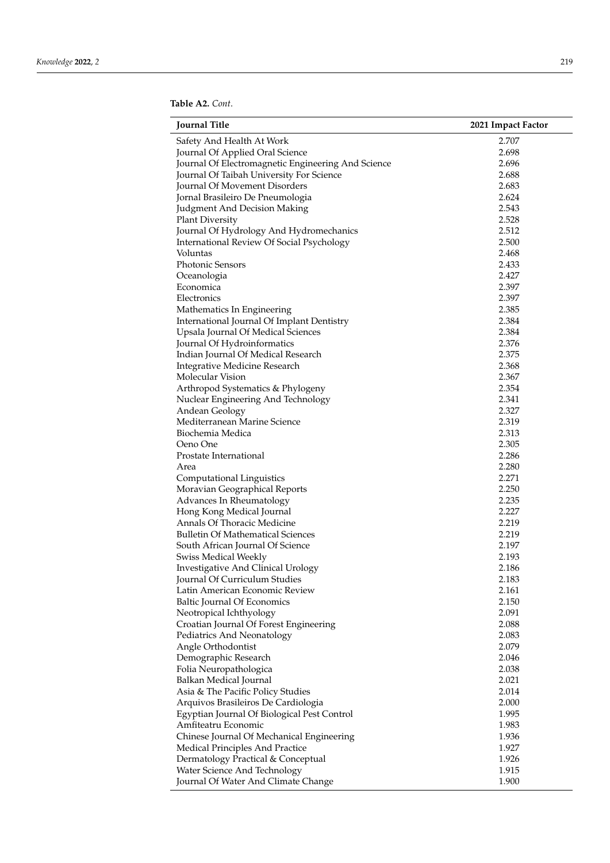| <b>Journal Title</b>                                                     | 2021 Impact Factor |
|--------------------------------------------------------------------------|--------------------|
| Safety And Health At Work                                                | 2.707              |
| Journal Of Applied Oral Science                                          | 2.698              |
| Journal Of Electromagnetic Engineering And Science                       | 2.696              |
| Journal Of Taibah University For Science                                 | 2.688              |
| Journal Of Movement Disorders                                            | 2.683              |
| Jornal Brasileiro De Pneumologia                                         | 2.624              |
| Judgment And Decision Making                                             | 2.543              |
| <b>Plant Diversity</b>                                                   | 2.528              |
| Journal Of Hydrology And Hydromechanics                                  | 2.512              |
| International Review Of Social Psychology                                | 2.500              |
| Voluntas                                                                 | 2.468              |
| Photonic Sensors                                                         | 2.433              |
| Oceanologia                                                              | 2.427              |
| Economica                                                                | 2.397              |
| Electronics                                                              | 2.397              |
| Mathematics In Engineering                                               | 2.385              |
| International Journal Of Implant Dentistry                               | 2.384              |
| Upsala Journal Of Medical Sciences                                       | 2.384              |
| Journal Of Hydroinformatics                                              | 2.376              |
| Indian Journal Of Medical Research                                       | 2.375              |
| <b>Integrative Medicine Research</b>                                     | 2.368              |
| Molecular Vision                                                         | 2.367              |
| Arthropod Systematics & Phylogeny                                        | 2.354              |
| Nuclear Engineering And Technology                                       | 2.341              |
| Andean Geology                                                           | 2.327              |
| Mediterranean Marine Science                                             | 2.319              |
| Biochemia Medica                                                         | 2.313              |
| Oeno One                                                                 | 2.305              |
| Prostate International                                                   | 2.286              |
| Area                                                                     | 2.280              |
| Computational Linguistics                                                | 2.271              |
| Moravian Geographical Reports                                            | 2.250              |
| Advances In Rheumatology                                                 | 2.235              |
| Hong Kong Medical Journal                                                | 2.227              |
| Annals Of Thoracic Medicine                                              | 2.219              |
| <b>Bulletin Of Mathematical Sciences</b>                                 | 2.219              |
| South African Journal Of Science                                         | 2.197              |
| <b>Swiss Medical Weekly</b>                                              | 2.193              |
| Investigative And Clinical Urology                                       | 2.186              |
| Journal Of Curriculum Studies                                            | 2.183              |
| Latin American Economic Review                                           | 2.161              |
| <b>Baltic Journal Of Economics</b>                                       | 2.150              |
|                                                                          | 2.091              |
| Neotropical Ichthyology<br>Croatian Journal Of Forest Engineering        | 2.088              |
|                                                                          | 2.083              |
| Pediatrics And Neonatology                                               | 2.079              |
| Angle Orthodontist                                                       | 2.046              |
| Demographic Research                                                     | 2.038              |
| Folia Neuropathologica                                                   |                    |
| Balkan Medical Journal                                                   | 2.021              |
| Asia & The Pacific Policy Studies<br>Arquivos Brasileiros De Cardiologia | 2.014<br>2.000     |
|                                                                          |                    |
| Egyptian Journal Of Biological Pest Control                              | 1.995              |
| Amfiteatru Economic                                                      | 1.983              |
| Chinese Journal Of Mechanical Engineering                                | 1.936              |
| Medical Principles And Practice                                          | 1.927              |
| Dermatology Practical & Conceptual                                       | 1.926              |
| Water Science And Technology                                             | 1.915              |
| Journal Of Water And Climate Change                                      | 1.900              |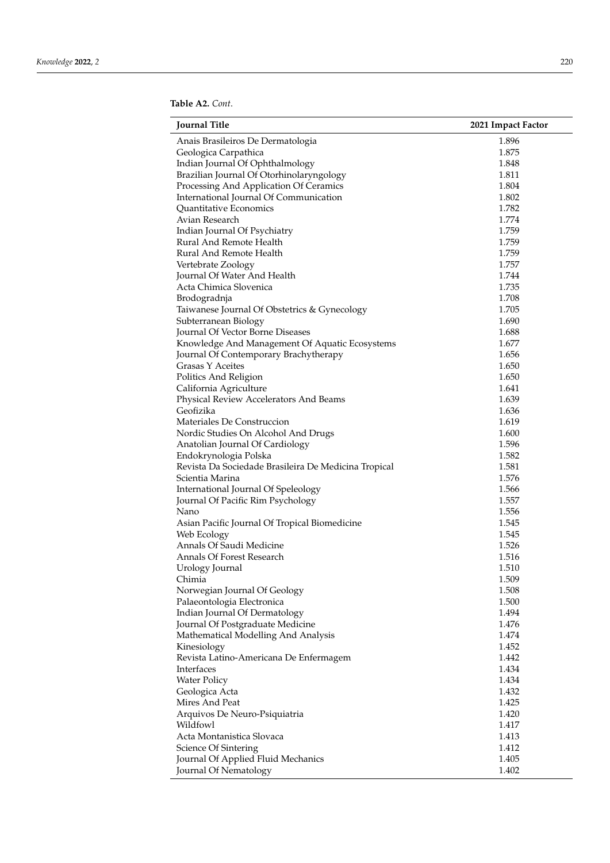| <b>Journal Title</b>                                 | 2021 Impact Factor |
|------------------------------------------------------|--------------------|
| Anais Brasileiros De Dermatologia                    | 1.896              |
| Geologica Carpathica                                 | 1.875              |
| Indian Journal Of Ophthalmology                      | 1.848              |
| Brazilian Journal Of Otorhinolaryngology             | 1.811              |
| Processing And Application Of Ceramics               | 1.804              |
| International Journal Of Communication               | 1.802              |
| Quantitative Economics                               | 1.782              |
| Avian Research                                       | 1.774              |
| Indian Journal Of Psychiatry                         | 1.759              |
| Rural And Remote Health                              | 1.759              |
| Rural And Remote Health                              | 1.759              |
| Vertebrate Zoology                                   | 1.757              |
| Journal Of Water And Health                          | 1.744              |
| Acta Chimica Slovenica                               | 1.735              |
| Brodogradnja                                         | 1.708              |
| Taiwanese Journal Of Obstetrics & Gynecology         | 1.705              |
| Subterranean Biology                                 | 1.690              |
| Journal Of Vector Borne Diseases                     | 1.688              |
| Knowledge And Management Of Aquatic Ecosystems       | 1.677              |
| Journal Of Contemporary Brachytherapy                | 1.656              |
| <b>Grasas Y Aceites</b>                              | 1.650              |
| Politics And Religion                                | 1.650              |
| California Agriculture                               | 1.641              |
| Physical Review Accelerators And Beams               | 1.639              |
| Geofizika                                            | 1.636              |
| Materiales De Construccion                           | 1.619              |
| Nordic Studies On Alcohol And Drugs                  | 1.600              |
| Anatolian Journal Of Cardiology                      | 1.596              |
| Endokrynologia Polska                                | 1.582              |
| Revista Da Sociedade Brasileira De Medicina Tropical | 1.581              |
| Scientia Marina                                      | 1.576              |
| International Journal Of Speleology                  | 1.566              |
| Journal Of Pacific Rim Psychology                    | 1.557              |
| Nano                                                 | 1.556              |
| Asian Pacific Journal Of Tropical Biomedicine        | 1.545              |
| Web Ecology                                          | 1.545              |
| Annals Of Saudi Medicine                             | 1.526              |
| Annals Of Forest Research                            | 1.516              |
| Urology Journal                                      | 1.510              |
| Chimia                                               | 1.509              |
| Norwegian Journal Of Geology                         | 1.508              |
| Palaeontologia Electronica                           | 1.500              |
| Indian Journal Of Dermatology                        | 1.494              |
| Journal Of Postgraduate Medicine                     | 1.476              |
| Mathematical Modelling And Analysis                  | 1.474              |
| Kinesiology                                          | 1.452              |
| Revista Latino-Americana De Enfermagem               | 1.442              |
| Interfaces                                           | 1.434              |
| <b>Water Policy</b>                                  | 1.434              |
| Geologica Acta                                       | 1.432              |
| Mires And Peat                                       | 1.425              |
| Arquivos De Neuro-Psiquiatria                        | 1.420              |
| Wildfowl                                             | 1.417              |
| Acta Montanistica Slovaca                            |                    |
|                                                      | 1.413              |
| Science Of Sintering                                 | 1.412              |
| Journal Of Applied Fluid Mechanics                   | 1.405              |
| Journal Of Nematology                                | 1.402              |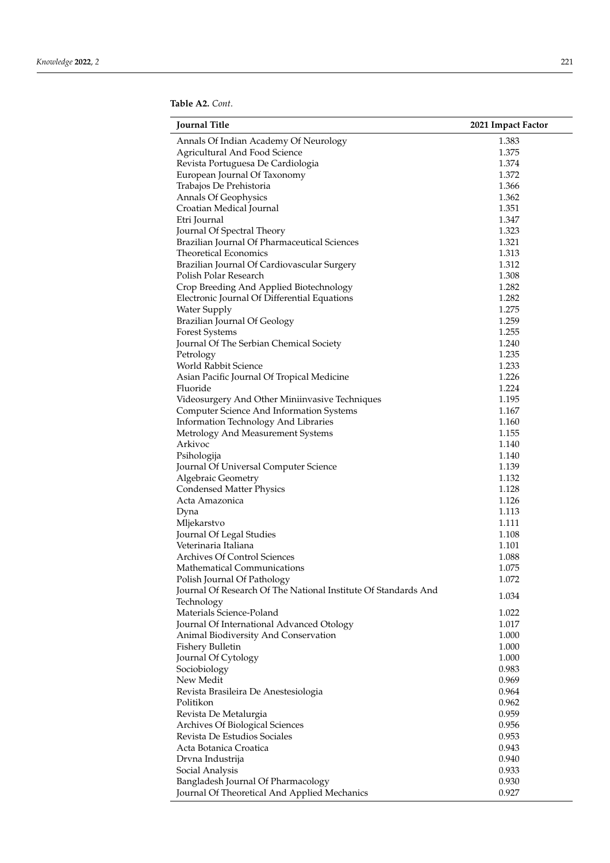| <b>Journal Title</b>                                           | 2021 Impact Factor |
|----------------------------------------------------------------|--------------------|
| Annals Of Indian Academy Of Neurology                          | 1.383              |
| Agricultural And Food Science                                  | 1.375              |
| Revista Portuguesa De Cardiologia                              | 1.374              |
| European Journal Of Taxonomy                                   | 1.372              |
| Trabajos De Prehistoria                                        | 1.366              |
| Annals Of Geophysics                                           | 1.362              |
| Croatian Medical Journal                                       | 1.351              |
| Etri Journal                                                   | 1.347              |
| Journal Of Spectral Theory                                     | 1.323              |
| Brazilian Journal Of Pharmaceutical Sciences                   | 1.321              |
| <b>Theoretical Economics</b>                                   | 1.313              |
| Brazilian Journal Of Cardiovascular Surgery                    | 1.312              |
| Polish Polar Research                                          | 1.308              |
| Crop Breeding And Applied Biotechnology                        | 1.282              |
| Electronic Journal Of Differential Equations                   | 1.282              |
| <b>Water Supply</b>                                            | 1.275              |
| Brazilian Journal Of Geology                                   | 1.259              |
| Forest Systems                                                 | 1.255              |
| Journal Of The Serbian Chemical Society                        | 1.240              |
| Petrology                                                      | 1.235              |
| World Rabbit Science                                           | 1.233              |
| Asian Pacific Journal Of Tropical Medicine                     | 1.226              |
| Fluoride                                                       | 1.224              |
| Videosurgery And Other Miniinvasive Techniques                 | 1.195              |
| Computer Science And Information Systems                       | 1.167              |
| Information Technology And Libraries                           | 1.160              |
| Metrology And Measurement Systems                              | 1.155              |
| Arkivoc                                                        | 1.140              |
| Psihologija                                                    | 1.140              |
| Journal Of Universal Computer Science                          | 1.139              |
| Algebraic Geometry                                             | 1.132              |
| <b>Condensed Matter Physics</b>                                | 1.128              |
| Acta Amazonica                                                 | 1.126              |
| Dyna                                                           | 1.113              |
| Mljekarstvo                                                    | 1.111              |
| Journal Of Legal Studies                                       | 1.108              |
| Veterinaria Italiana                                           | 1.101              |
| Archives Of Control Sciences                                   | 1.088              |
| Mathematical Communications                                    | 1.075              |
| Polish Journal Of Pathology                                    | 1.072              |
| Journal Of Research Of The National Institute Of Standards And |                    |
| Technology                                                     | 1.034              |
| Materials Science-Poland                                       | 1.022              |
| Journal Of International Advanced Otology                      | 1.017              |
| Animal Biodiversity And Conservation                           | 1.000              |
| Fishery Bulletin                                               | 1.000              |
| Journal Of Cytology                                            | 1.000              |
| Sociobiology                                                   | 0.983              |
| New Medit                                                      | 0.969              |
| Revista Brasileira De Anestesiologia                           | 0.964              |
| Politikon                                                      | 0.962              |
| Revista De Metalurgia                                          | 0.959              |
| Archives Of Biological Sciences                                | 0.956              |
| Revista De Estudios Sociales                                   | 0.953              |
| Acta Botanica Croatica                                         | 0.943              |
| Drvna Industrija                                               | 0.940              |
| Social Analysis                                                | 0.933              |
| Bangladesh Journal Of Pharmacology                             | 0.930              |
| Journal Of Theoretical And Applied Mechanics                   | 0.927              |
|                                                                |                    |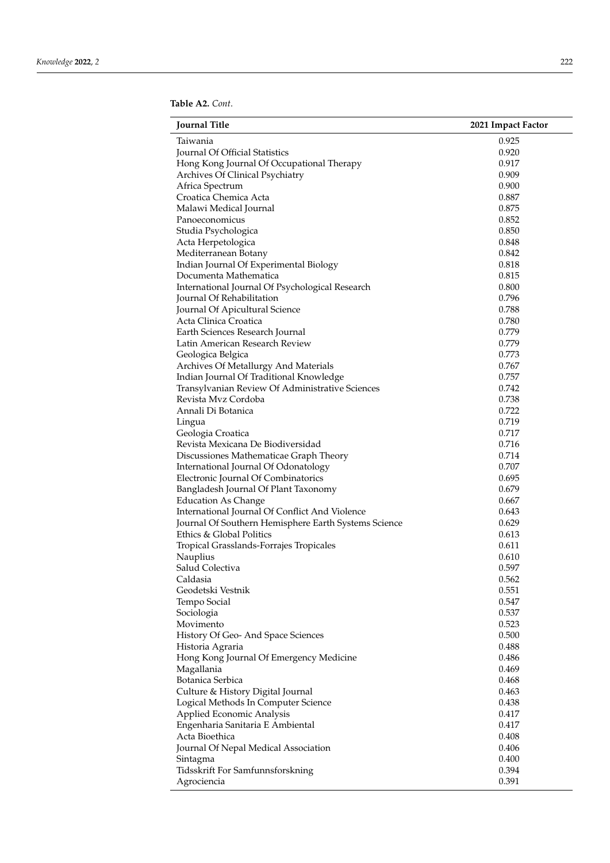| <b>Journal Title</b>                                              | 2021 Impact Factor |
|-------------------------------------------------------------------|--------------------|
| Taiwania                                                          | 0.925              |
| Journal Of Official Statistics                                    | 0.920              |
| Hong Kong Journal Of Occupational Therapy                         | 0.917              |
| Archives Of Clinical Psychiatry                                   | 0.909              |
| Africa Spectrum                                                   | 0.900              |
| Croatica Chemica Acta                                             | 0.887              |
| Malawi Medical Journal                                            | 0.875              |
| Panoeconomicus                                                    | 0.852              |
| Studia Psychologica                                               | 0.850              |
| Acta Herpetologica                                                | 0.848              |
| Mediterranean Botany                                              | 0.842              |
| Indian Journal Of Experimental Biology                            | 0.818              |
| Documenta Mathematica                                             | 0.815              |
| International Journal Of Psychological Research                   | 0.800              |
| Journal Of Rehabilitation                                         | 0.796              |
| Journal Of Apicultural Science                                    | 0.788              |
| Acta Clinica Croatica                                             | 0.780              |
|                                                                   | 0.779              |
| Earth Sciences Research Journal<br>Latin American Research Review | 0.779              |
|                                                                   |                    |
| Geologica Belgica                                                 | 0.773              |
| Archives Of Metallurgy And Materials                              | 0.767              |
| Indian Journal Of Traditional Knowledge                           | 0.757              |
| Transylvanian Review Of Administrative Sciences                   | 0.742              |
| Revista Mvz Cordoba                                               | 0.738              |
| Annali Di Botanica                                                | 0.722              |
| Lingua                                                            | 0.719              |
| Geologia Croatica                                                 | 0.717              |
| Revista Mexicana De Biodiversidad                                 | 0.716              |
| Discussiones Mathematicae Graph Theory                            | 0.714              |
| International Journal Of Odonatology                              | 0.707              |
| Electronic Journal Of Combinatorics                               | 0.695              |
| Bangladesh Journal Of Plant Taxonomy                              | 0.679              |
| <b>Education As Change</b>                                        | 0.667              |
| International Journal Of Conflict And Violence                    | 0.643              |
| Journal Of Southern Hemisphere Earth Systems Science              | 0.629              |
| Ethics & Global Politics                                          | 0.613              |
| Tropical Grasslands-Forrajes Tropicales                           | 0.611              |
| Nauplius                                                          | 0.610              |
| Salud Colectiva                                                   | 0.597              |
| Caldasia                                                          | 0.562              |
| Geodetski Vestnik                                                 | 0.551              |
| Tempo Social                                                      | 0.547              |
| Sociologia                                                        | 0.537              |
| Movimento                                                         | 0.523              |
| History Of Geo-And Space Sciences                                 | 0.500              |
| Historia Agraria                                                  | 0.488              |
| Hong Kong Journal Of Emergency Medicine                           | 0.486              |
| Magallania                                                        | 0.469              |
| Botanica Serbica                                                  | 0.468              |
| Culture & History Digital Journal                                 | 0.463              |
| Logical Methods In Computer Science                               | 0.438              |
| Applied Economic Analysis                                         | 0.417              |
| Engenharia Sanitaria E Ambiental                                  | 0.417              |
| Acta Bioethica                                                    | 0.408              |
| Journal Of Nepal Medical Association                              | 0.406              |
| Sintagma                                                          | 0.400              |
| Tidsskrift For Samfunnsforskning                                  | 0.394              |
| Agrociencia                                                       | 0.391              |
|                                                                   |                    |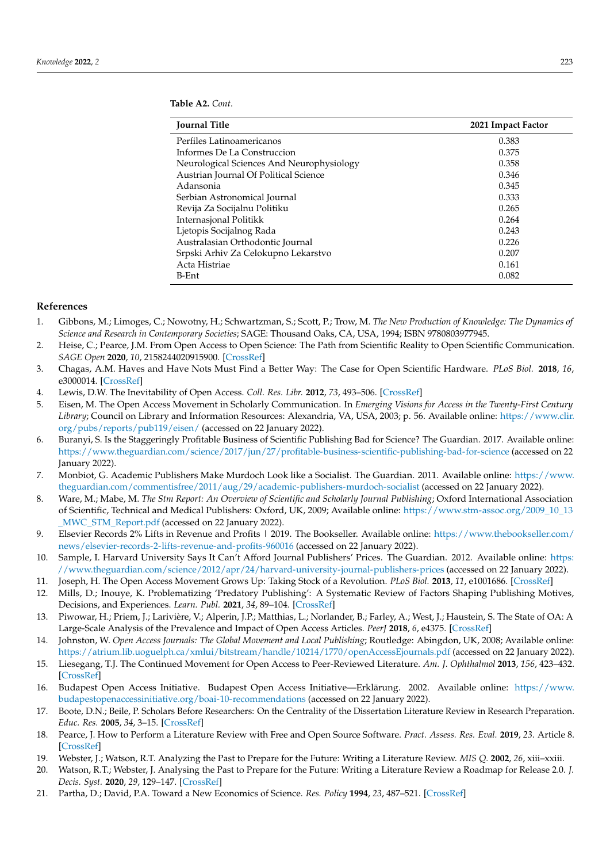<span id="page-14-21"></span>

| 2021 Impact Factor |
|--------------------|
| 0.383              |
| 0.375              |
| 0.358              |
| 0.346              |
| 0.345              |
| 0.333              |
| 0.265              |
| 0.264              |
| 0.243              |
| 0.226              |
| 0.207              |
| 0.161              |
| 0.082              |
|                    |

### **References**

- <span id="page-14-0"></span>1. Gibbons, M.; Limoges, C.; Nowotny, H.; Schwartzman, S.; Scott, P.; Trow, M. *The New Production of Knowledge: The Dynamics of Science and Research in Contemporary Societies*; SAGE: Thousand Oaks, CA, USA, 1994; ISBN 9780803977945.
- <span id="page-14-1"></span>2. Heise, C.; Pearce, J.M. From Open Access to Open Science: The Path from Scientific Reality to Open Scientific Communication. *SAGE Open* **2020**, *10*, 2158244020915900. [\[CrossRef\]](http://doi.org/10.1177/2158244020915900)
- <span id="page-14-2"></span>3. Chagas, A.M. Haves and Have Nots Must Find a Better Way: The Case for Open Scientific Hardware. *PLoS Biol.* **2018**, *16*, e3000014. [\[CrossRef\]](http://doi.org/10.1371/journal.pbio.3000014)
- <span id="page-14-3"></span>4. Lewis, D.W. The Inevitability of Open Access. *Coll. Res. Libr.* **2012**, *73*, 493–506. [\[CrossRef\]](http://doi.org/10.5860/crl-299)
- <span id="page-14-4"></span>5. Eisen, M. The Open Access Movement in Scholarly Communication. In *Emerging Visions for Access in the Twenty-First Century Library*; Council on Library and Information Resources: Alexandria, VA, USA, 2003; p. 56. Available online: [https://www.clir.](https://www.clir.org/pubs/reports/pub119/eisen/) [org/pubs/reports/pub119/eisen/](https://www.clir.org/pubs/reports/pub119/eisen/) (accessed on 22 January 2022).
- <span id="page-14-5"></span>6. Buranyi, S. Is the Staggeringly Profitable Business of Scientific Publishing Bad for Science? The Guardian. 2017. Available online: <https://www.theguardian.com/science/2017/jun/27/profitable-business-scientific-publishing-bad-for-science> (accessed on 22 January 2022).
- <span id="page-14-6"></span>7. Monbiot, G. Academic Publishers Make Murdoch Look like a Socialist. The Guardian. 2011. Available online: [https://www.](https://www.theguardian.com/commentisfree/2011/aug/29/academic-publishers-murdoch-socialist) [theguardian.com/commentisfree/2011/aug/29/academic-publishers-murdoch-socialist](https://www.theguardian.com/commentisfree/2011/aug/29/academic-publishers-murdoch-socialist) (accessed on 22 January 2022).
- <span id="page-14-7"></span>8. Ware, M.; Mabe, M. *The Stm Report: An Overview of Scientific and Scholarly Journal Publishing*; Oxford International Association of Scientific, Technical and Medical Publishers: Oxford, UK, 2009; Available online: [https://www.stm-assoc.org/2009\\_10\\_13](https://www.stm-assoc.org/2009_10_13_MWC_STM_Report.pdf) [\\_MWC\\_STM\\_Report.pdf](https://www.stm-assoc.org/2009_10_13_MWC_STM_Report.pdf) (accessed on 22 January 2022).
- <span id="page-14-8"></span>9. Elsevier Records 2% Lifts in Revenue and Profits | 2019. The Bookseller. Available online: [https://www.thebookseller.com/](https://www.thebookseller.com/news/elsevier-records-2-lifts-revenue-and-profits-960016) [news/elsevier-records-2-lifts-revenue-and-profits-960016](https://www.thebookseller.com/news/elsevier-records-2-lifts-revenue-and-profits-960016) (accessed on 22 January 2022).
- <span id="page-14-9"></span>10. Sample, I. Harvard University Says It Can't Afford Journal Publishers' Prices. The Guardian. 2012. Available online: [https:](https://www.theguardian.com/science/2012/apr/24/harvard-university-journal-publishers-prices) [//www.theguardian.com/science/2012/apr/24/harvard-university-journal-publishers-prices](https://www.theguardian.com/science/2012/apr/24/harvard-university-journal-publishers-prices) (accessed on 22 January 2022).
- <span id="page-14-10"></span>11. Joseph, H. The Open Access Movement Grows Up: Taking Stock of a Revolution. *PLoS Biol.* **2013**, *11*, e1001686. [\[CrossRef\]](http://doi.org/10.1371/journal.pbio.1001686)
- <span id="page-14-11"></span>12. Mills, D.; Inouye, K. Problematizing 'Predatory Publishing': A Systematic Review of Factors Shaping Publishing Motives, Decisions, and Experiences. *Learn. Publ.* **2021**, *34*, 89–104. [\[CrossRef\]](http://doi.org/10.1002/leap.1325)
- <span id="page-14-12"></span>13. Piwowar, H.; Priem, J.; Larivière, V.; Alperin, J.P.; Matthias, L.; Norlander, B.; Farley, A.; West, J.; Haustein, S. The State of OA: A Large-Scale Analysis of the Prevalence and Impact of Open Access Articles. *PeerJ* **2018**, *6*, e4375. [\[CrossRef\]](http://doi.org/10.7717/peerj.4375)
- <span id="page-14-13"></span>14. Johnston, W. *Open Access Journals: The Global Movement and Local Publishing*; Routledge: Abingdon, UK, 2008; Available online: <https://atrium.lib.uoguelph.ca/xmlui/bitstream/handle/10214/1770/openAccessEjournals.pdf> (accessed on 22 January 2022).
- <span id="page-14-14"></span>15. Liesegang, T.J. The Continued Movement for Open Access to Peer-Reviewed Literature. *Am. J. Ophthalmol* **2013**, *156*, 423–432. [\[CrossRef\]](http://doi.org/10.1016/j.ajo.2013.04.033)
- <span id="page-14-15"></span>16. Budapest Open Access Initiative. Budapest Open Access Initiative—Erklärung. 2002. Available online: [https://www.](https://www.budapestopenaccessinitiative.org/boai-10-recommendations) [budapestopenaccessinitiative.org/boai-10-recommendations](https://www.budapestopenaccessinitiative.org/boai-10-recommendations) (accessed on 22 January 2022).
- <span id="page-14-16"></span>17. Boote, D.N.; Beile, P. Scholars Before Researchers: On the Centrality of the Dissertation Literature Review in Research Preparation. *Educ. Res.* **2005**, *34*, 3–15. [\[CrossRef\]](http://doi.org/10.3102/0013189X034006003)
- <span id="page-14-17"></span>18. Pearce, J. How to Perform a Literature Review with Free and Open Source Software. *Pract. Assess. Res. Eval.* **2019**, *23*. Article 8. [\[CrossRef\]](http://doi.org/10.7275/jjhz-sz75)
- <span id="page-14-18"></span>19. Webster, J.; Watson, R.T. Analyzing the Past to Prepare for the Future: Writing a Literature Review. *MIS Q.* **2002**, *26*, xiii–xxiii.
- <span id="page-14-19"></span>20. Watson, R.T.; Webster, J. Analysing the Past to Prepare for the Future: Writing a Literature Review a Roadmap for Release 2.0. *J. Decis. Syst.* **2020**, *29*, 129–147. [\[CrossRef\]](http://doi.org/10.1080/12460125.2020.1798591)
- <span id="page-14-20"></span>21. Partha, D.; David, P.A. Toward a New Economics of Science. *Res. Policy* **1994**, *23*, 487–521. [\[CrossRef\]](http://doi.org/10.1016/0048-7333(94)01002-1)